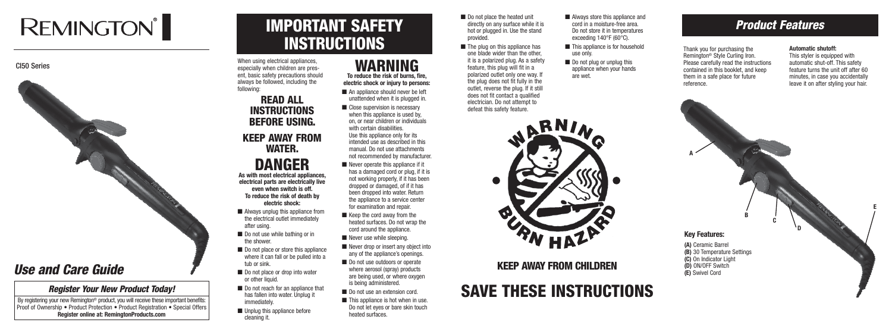# **REMINGTON®**



# IMPORTANT SAFETY **INSTRUCTIONS**

# SAVE THESE INSTRUCTIONS

When using electrical appliances. especially when children are present, basic safety precautions should always be followed, including the following:

## READ ALL INSTRUCTIONS BEFORE USING. KEEP AWAY FROM WATER. DANGER

**As with most electrical appliances, electrical parts are electrically live even when switch is off. To reduce the risk of death by electric shock:**

- Always unplug this appliance from the electrical outlet immediately after using.
- Do not use while bathing or in the shower.
- Do not place or store this appliance where it can fall or be pulled into a tub or sink.
- Do not place or drop into water or other liquid.
- Do not reach for an appliance that has fallen into water. Unplug it immediately.
- Unplug this appliance before cleaning it.
- Do not place the heated unit directly on any surface while it is hot or plugged in. Use the stand provided.
- The plug on this appliance has one blade wider than the other, it is a polarized plug. As a safety feature, this plug will fit in a polarized outlet only one way. If the plug does not fit fully in the outlet, reverse the plug. If it still does not fit contact a qualified electrician. Do not attempt to defeat this safety feature.
- This appliance is for household use only.
- Do not plug or unplug this appliance when your hands are wet.

**electric shock or injury to persons:** ■ An appliance should never be left



### WARNING **To reduce the risk of burns, fire,**

By registering your new Remington<sup>®</sup> product, you will receive these important benefits: Proof of Ownership • Product Protection • Product Registration • Special Offers **Register online at: RemingtonProducts.com**

- unattended when it is plugged in.
- Close supervision is necessary when this appliance is used by, on, or near children or individuals with certain disabilities. Use this appliance only for its intended use as described in this manual. Do not use attachments not recommended by manufacturer.
- $\blacksquare$  Never operate this appliance if it has a damaged cord or plug, if it is not working properly, if it has been dropped or damaged, of if it has been dropped into water. Return the appliance to a service center for examination and repair.
- $\blacksquare$  Keep the cord away from the heated surfaces. Do not wrap the cord around the appliance.
- Never use while sleeping.
- Never drop or insert any object into any of the appliance's openings.
- Do not use outdoors or operate where aerosol (spray) products are being used, or where oxygen is being administered.
- Do not use an extension cord.
- $\blacksquare$  This appliance is hot when in use. Do not let eyes or bare skin touch heated surfaces.



KEEP AWAY FROM CHILDREN

## *Product Features*

Thank you for purchasing the Remington® Style Curling Iron. Please carefully read the instructions contained in this booklet, and keep them in a safe place for future reference.

#### **Automatic shutoff:**

This styler is equipped with automatic shut-off. This safety feature turns the unit off after 60 minutes, in case you accidentally leave it on after styling your hair.

#### **Key Features:**

**(A)** Ceramic Barrel **(B)** 30 Temperature Settings **(C)** On Indicator Light **(D)** ON/OFF Switch **(E)** Swivel Cord

**A**

**B**

**C**

**D**

**E**

## *Use and Care Guide*

### *Register Your New Product Today!*